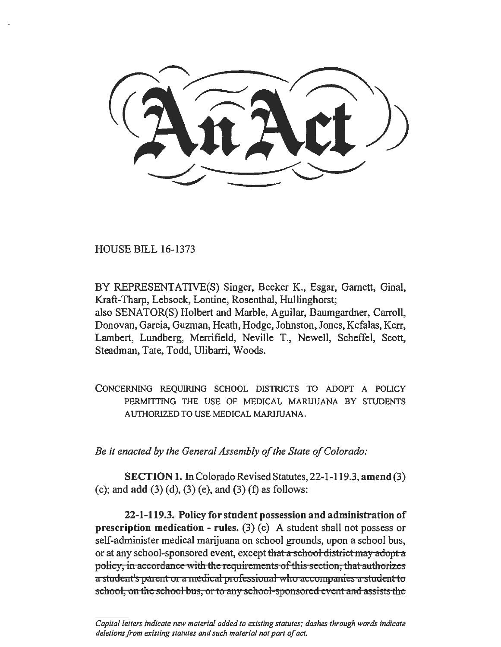**HOUSE BILL 16-1373** 

BY REPRESENTATIVE(S) Singer, Becker K., Esgar, Garnett, Ginal, Kraft-Tharp, Lebsock, Lontine, Rosenthal, Hullinghorst; also SENATOR(S) Holbert and Marble, Aguilar, Baumgardner, Carroll, Donovan, Garcia, Guzman, Heath, Hodge, Johnston, Jones, Kefalas, Kerr, Lambert, Lundberg, Merrifield, Neville T., Newell, Scheffel, Scott, Steadman, Tate, Todd, Ulibarri, Woods.

CONCERNING REQUIRING SCHOOL DISTRICTS TO ADOPT A POLICY PERMITTING THE USE OF MEDICAL MARIJUANA BY STUDENTS AUTHORIZED TO USE MEDICAL MARIJUANA.

*Be it enacted by the General Assembly of the State of Colorado:* 

SECTION 1. In Colorado Revised Statutes, 22-1-119.3, amend (3) (c); and  $add (3) (d)$ ,  $(3) (e)$ , and  $(3) (f)$  as follows:

22-1-119.3. Policy for student possession and administration of **prescription medication - rules.** (3) (c) A student shall not possess or self-administer medical marijuana on school grounds, upon a school bus, or at any school-sponsored event, except that a school district may adopt a policy, in accordance with the requirements of this section, that authorizes a student's parent or a medical professional who accompanies a student to school, on the school bus, or to any school-sponsored event and assists the

*Capita/letters indicate new material added to existing statutes; dashes through words indicate deletions from existing statutes and such material not parr of act.*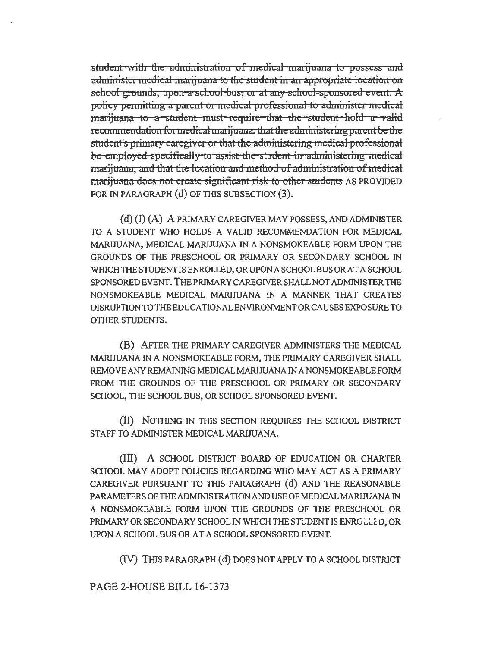student with the administration of medical marijuana to possess and administer medical marijuana to the student in an appropriate location on school grounds, upon a school bus, or at any school-sponsored event. A policy permitting a parent or medical professional to administer medical marijuana to a student must require that the student hold a valid recommendation for medical marijuana; that the administering parent be the student's primary caregiver or that the administering medical professional be employed specifically to assist the student in administering medical marijuana, and that the location and method of administration of medical marijuana does not create significant risk to other students AS PROVIDED FOR IN PARAGRAPH (d) OF THIS SUBSECTION (3).

(d) (I) (A) A PRlMARY CAREGIVER MAY POSSESS, AND ADMINlSTER TO A STUDENT WHO HOLDS A VALID RECOMMENDATION FOR MEDICAL MARIJUANA, MEDICAL MARIJUANA IN A NONSMOKEABLE FORM UPON THE GROUNDS OF THE PRESCHOOL OR PRIMARY OR SECONDARY SCHOOL IN WHICH THE STUDENT IS ENROLLED, OR UPON A SCHOOL BUS ORAT A SCHOOL SPONSORED EVENT. THE PRIMARY CAREGIVER SHALL NOT ADMINISTER THE NONSMOKEABLE MEDICAL MARIJUANA IN A MANNER THAT CREATES DISRUPTIONTOTHEEOUCATIONALENVIRONMENTORCAUSESEXPOSURETO OTHER STUDENTS.

(B) AFTER THE PRIMARY CAREGIVER ADMINISTERS THE MEDICAL MARlJUANA IN A NONSMOKEABLE FORM, THE PRIMARY CAREGIVER SHALL REMOVE ANY REMAINING MEDICALMARJJUANA IN A NONSMOKEABLE FORM FROM THE GROUNDS OF THE PRESCHOOL OR PRIMARY OR SECONDARY SCHOOL, THE SCHOOL BUS, OR SCHOOL SPONSORED EVENT.

(II) NOTHING IN TillS SECTION REQUIRES THE SCHOOL DISTRICT STAFF TO ADMINISTER MEDICAL MARIJUANA.

(III) A SCHOOL DISTRICT BOARD OF EDUCATION OR CHARTER SCHOOL MAY ADOPT POLICIES REGARDING WHO MAY ACT AS A PRIMARY CAREGIVER PURSUANT TO THIS PARAGRAPH (d) AND THE REASONABLE PARAMETERS OFTHEADMINISTRA TION AND USE OF MEDICAL MARIJUANA IN A NONSMOKEABLE FORM UPON THE GROUNDS OF THE PRESCHOOL OR PRIMARY OR SECONDARY SCHOOL IN WHICH THE STUDENT IS ENROLLED, OR UPON A SCHOOL BUS OR AT A SCHOOL SPONSORED EVENT.

(IV) THIS PARAGRAPH (d) DOES NOT APPLY TO A SCHOOL DISTRICT

PAGE 2-HOUSE BILL 16-1373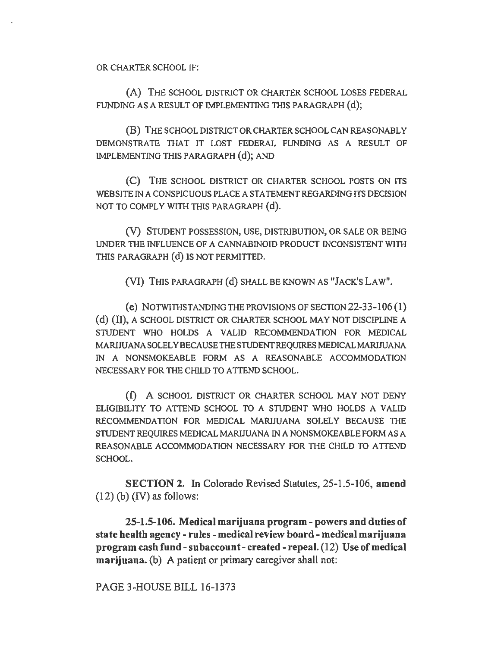OR CHARTER SCHOOL IF:

(A) THE SCHOOL DISTRICT OR CHARTER SCHOOL LOSES FEDERAL FUNDING AS A RESULT OF IMPLEMENTING THIS PARAGRAPH (d);

(B) THE SCHOOL DISTRICT OR CHARTER SCHOOL CAN REASONABLY DEMONSTRATE THAT IT LOST FEDERAL FUNDING AS A RESULT OF IMPLEMENTING THIS PARAGRAPH (d); AND

(C) THE SCHOOL DISTRICT OR CHARTER SCHOOL POSTS ON ITS WEBSITE IN A CONSPICUOUS PLACE A STATEMENT REGARDING ITS DECISION NOT TO COMPLY WITH THIS PARAGRAPH (d).

(V) STUDENT POSSESSION, USE, DISTRIBUTION, OR SALE OR BEING UNDER THE INFLUENCE OF A CANNABINOID PRODUCT INCONSISTENT WITH THIS PARAGRAPH (d) IS NOT PERMITTED.

(VI) THIS PARAGRAPH (d) SHALL BE KNOWN AS "JACK'S LAW".

(e) NOTWITHSTANDING THE PROVISIONS OF SECTION 22-33-106 (1) (d) (II), A SCHOOL DISTRICT OR CHARTER SCHOOL MAY NOT DISCIPLINE A STUDENT WHO HOLDS A VALID RECOMMENDATION FOR MEDICAL MARIJUANA SOLELY BECAUSE THE STUDENT REQUIRES MEDICAL MARIJUANA IN A NONSMOKEABLE FORM AS A REASONABLE ACCOMMODATION NECESSARY FOR THE CHILD TO ATTEND SCHOOL.

(f) A SCHOOL DISTRICT OR CHARTER SCHOOL MAY NOT DENY ELIGIDILITY TO ATTEND SCHOOL TO A STUDENT WHO HOLDS A VALID RECOMMENDATION FOR MEDICAL MARIJUANA SOLELY BECAUSE THE STUDENT REQUIRES MEDICAL MARIJUANA IN A NONSMOKEABLE FORM AS A REASONABLE ACCOMMODATION NECESSARY FOR THE CHILD TO ATTEND SCHOOL.

SECTION 2. In Colorado Revised Statutes, 25-1.5-106, amend  $(12)$  (b) (IV) as follows:

25-1.5-106. Medical marijuana program- powers and duties of state health agency- rules- medical review board- medical marijuana program cash fund-subaccount- created- repeal. (12) Use of medical marijuana. (b) A patient or primary caregiver shall not:

PAGE 3-HOUSE BILL 16-1373